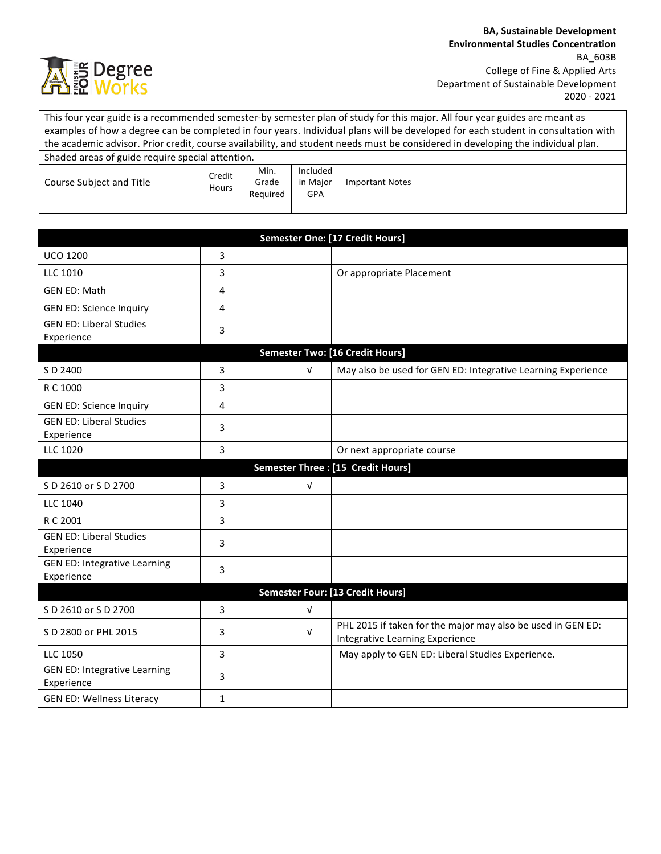

This four year guide is a recommended semester-by semester plan of study for this major. All four year guides are meant as examples of how a degree can be completed in four years. Individual plans will be developed for each student in consultation with the academic advisor. Prior credit, course availability, and student needs must be considered in developing the individual plan. Shaded areas of guide require special attention. Course Subject and Title **Credit** Hours Min. Grade Required Included in Major GPA Important Notes

| Semester One: [17 Credit Hours]                   |                |  |            |                                                              |  |
|---------------------------------------------------|----------------|--|------------|--------------------------------------------------------------|--|
| <b>UCO 1200</b>                                   | $\overline{3}$ |  |            |                                                              |  |
| <b>LLC 1010</b>                                   | 3              |  |            | Or appropriate Placement                                     |  |
| <b>GEN ED: Math</b>                               | $\overline{4}$ |  |            |                                                              |  |
| <b>GEN ED: Science Inquiry</b>                    | 4              |  |            |                                                              |  |
| <b>GEN ED: Liberal Studies</b>                    | 3              |  |            |                                                              |  |
| Experience                                        |                |  |            |                                                              |  |
|                                                   |                |  |            | <b>Semester Two: [16 Credit Hours]</b>                       |  |
| S D 2400                                          | 3              |  | $\sqrt{ }$ | May also be used for GEN ED: Integrative Learning Experience |  |
| R C 1000                                          | 3              |  |            |                                                              |  |
| <b>GEN ED: Science Inquiry</b>                    | $\overline{4}$ |  |            |                                                              |  |
| <b>GEN ED: Liberal Studies</b>                    | 3              |  |            |                                                              |  |
| Experience                                        |                |  |            |                                                              |  |
| <b>LLC 1020</b>                                   | $\overline{3}$ |  |            | Or next appropriate course                                   |  |
| Semester Three : [15 Credit Hours]                |                |  |            |                                                              |  |
| S D 2610 or S D 2700                              | 3              |  | $\sqrt{ }$ |                                                              |  |
| LLC 1040                                          | 3              |  |            |                                                              |  |
| R C 2001                                          | 3              |  |            |                                                              |  |
| <b>GEN ED: Liberal Studies</b>                    | 3              |  |            |                                                              |  |
| Experience                                        |                |  |            |                                                              |  |
| <b>GEN ED: Integrative Learning</b><br>Experience | 3              |  |            |                                                              |  |
| Semester Four: [13 Credit Hours]                  |                |  |            |                                                              |  |
| S D 2610 or S D 2700                              | 3              |  | $\sqrt{ }$ |                                                              |  |
| S D 2800 or PHL 2015                              | 3              |  | $\sqrt{ }$ | PHL 2015 if taken for the major may also be used in GEN ED:  |  |
|                                                   |                |  |            | Integrative Learning Experience                              |  |
| <b>LLC 1050</b>                                   | 3              |  |            | May apply to GEN ED: Liberal Studies Experience.             |  |
| <b>GEN ED: Integrative Learning</b><br>Experience | 3              |  |            |                                                              |  |
| <b>GEN ED: Wellness Literacy</b>                  | $\mathbf 1$    |  |            |                                                              |  |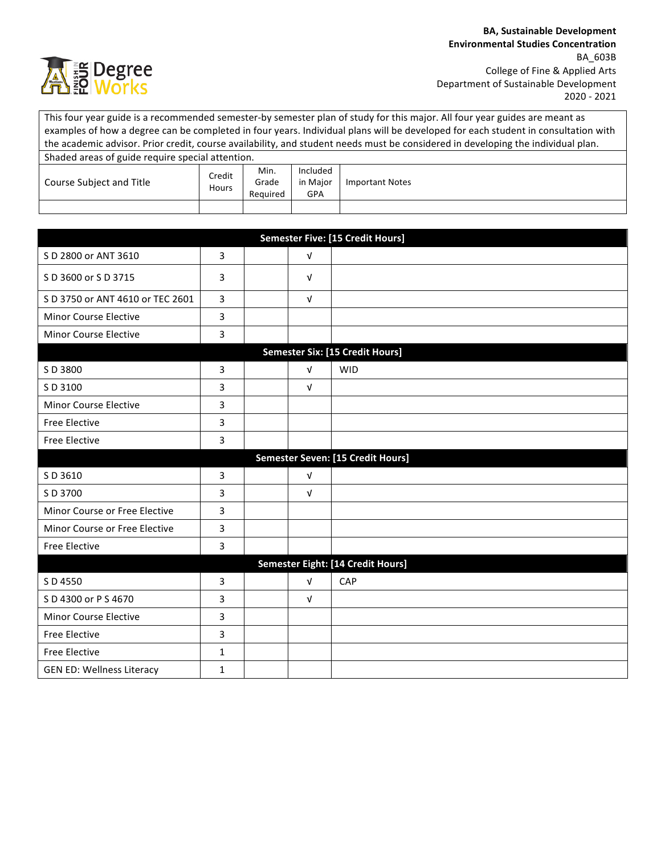

This four year guide is a recommended semester-by semester plan of study for this major. All four year guides are meant as examples of how a degree can be completed in four years. Individual plans will be developed for each student in consultation with the academic advisor. Prior credit, course availability, and student needs must be considered in developing the individual plan. Shaded areas of guide require special attention. Course Subject and Title **Credit** Hours Min. Grade Required Included in Major GPA Important Notes

| <b>Semester Five: [15 Credit Hours]</b> |                |  |            |                                        |  |
|-----------------------------------------|----------------|--|------------|----------------------------------------|--|
| S D 2800 or ANT 3610                    | 3              |  | $\sqrt{ }$ |                                        |  |
| S D 3600 or S D 3715                    | 3              |  | $\sqrt{ }$ |                                        |  |
| S D 3750 or ANT 4610 or TEC 2601        | 3              |  | $\sqrt{ }$ |                                        |  |
| Minor Course Elective                   | 3              |  |            |                                        |  |
| Minor Course Elective                   | 3              |  |            |                                        |  |
|                                         |                |  |            | <b>Semester Six: [15 Credit Hours]</b> |  |
| SD 3800                                 | 3              |  | $\sqrt{ }$ | <b>WID</b>                             |  |
| S D 3100                                | 3              |  | $\sqrt{ }$ |                                        |  |
| Minor Course Elective                   | 3              |  |            |                                        |  |
| <b>Free Elective</b>                    | 3              |  |            |                                        |  |
| <b>Free Elective</b>                    | 3              |  |            |                                        |  |
| Semester Seven: [15 Credit Hours]       |                |  |            |                                        |  |
| S D 3610                                | 3              |  | $\sqrt{ }$ |                                        |  |
| S D 3700                                | 3              |  | $\sqrt{ }$ |                                        |  |
| Minor Course or Free Elective           | 3              |  |            |                                        |  |
| Minor Course or Free Elective           | 3              |  |            |                                        |  |
| <b>Free Elective</b>                    | 3              |  |            |                                        |  |
| Semester Eight: [14 Credit Hours]       |                |  |            |                                        |  |
| S D 4550                                | $\overline{3}$ |  | $\sqrt{ }$ | CAP                                    |  |
| S D 4300 or P S 4670                    | 3              |  | $\sqrt{ }$ |                                        |  |
| Minor Course Elective                   | 3              |  |            |                                        |  |
| <b>Free Elective</b>                    | 3              |  |            |                                        |  |
| <b>Free Elective</b>                    | 1              |  |            |                                        |  |
| <b>GEN ED: Wellness Literacy</b>        | $\mathbf{1}$   |  |            |                                        |  |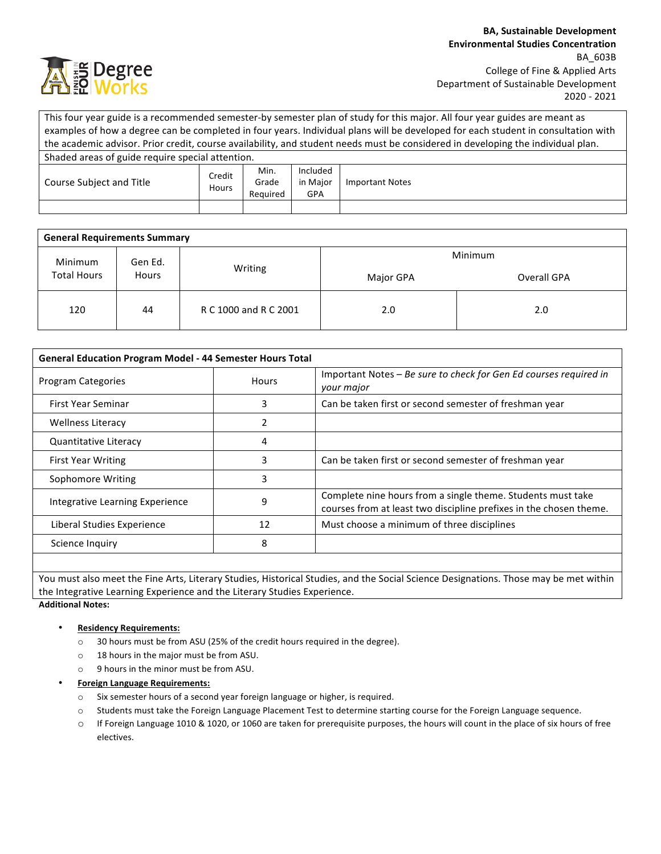

This four year guide is a recommended semester-by semester plan of study for this major. All four year guides are meant as examples of how a degree can be completed in four years. Individual plans will be developed for each student in consultation with the academic advisor. Prior credit, course availability, and student needs must be considered in developing the individual plan. Shaded areas of guide require special attention. Course Subject and Title **Credit Hours** Min. Grade Required Included in Major GPA Important Notes

| <b>General Requirements Summary</b>                      |         |                       |             |     |  |  |  |
|----------------------------------------------------------|---------|-----------------------|-------------|-----|--|--|--|
| Minimum<br>Gen Ed.<br><b>Total Hours</b><br><b>Hours</b> |         | Minimum               |             |     |  |  |  |
|                                                          | Writing | Major GPA             | Overall GPA |     |  |  |  |
| 120                                                      | 44      | R C 1000 and R C 2001 | 2.0         | 2.0 |  |  |  |

| <b>General Education Program Model - 44 Semester Hours Total</b> |       |                                                                                                                                   |  |  |
|------------------------------------------------------------------|-------|-----------------------------------------------------------------------------------------------------------------------------------|--|--|
| <b>Program Categories</b>                                        | Hours | Important Notes – Be sure to check for Gen Ed courses required in<br>your major                                                   |  |  |
| First Year Seminar                                               | ੨     | Can be taken first or second semester of freshman year                                                                            |  |  |
| <b>Wellness Literacy</b>                                         |       |                                                                                                                                   |  |  |
| <b>Quantitative Literacy</b>                                     | 4     |                                                                                                                                   |  |  |
| <b>First Year Writing</b>                                        | 3     | Can be taken first or second semester of freshman year                                                                            |  |  |
| Sophomore Writing                                                | 3     |                                                                                                                                   |  |  |
| Integrative Learning Experience                                  | 9     | Complete nine hours from a single theme. Students must take<br>courses from at least two discipline prefixes in the chosen theme. |  |  |
| Liberal Studies Experience                                       | 12    | Must choose a minimum of three disciplines                                                                                        |  |  |
| Science Inquiry                                                  | 8     |                                                                                                                                   |  |  |
|                                                                  |       |                                                                                                                                   |  |  |

You must also meet the Fine Arts, Literary Studies, Historical Studies, and the Social Science Designations. Those may be met within the Integrative Learning Experience and the Literary Studies Experience.

**Additional Notes:**

## • **Residency Requirements:**

- o 30 hours must be from ASU (25% of the credit hours required in the degree).
- $\circ$  18 hours in the major must be from ASU.
- $\circ$  9 hours in the minor must be from ASU.
- **Foreign Language Requirements:**
	- o Six semester hours of a second year foreign language or higher, is required.
	- o Students must take the Foreign Language Placement Test to determine starting course for the Foreign Language sequence.
	- $\circ$  If Foreign Language 1010 & 1020, or 1060 are taken for prerequisite purposes, the hours will count in the place of six hours of free electives.